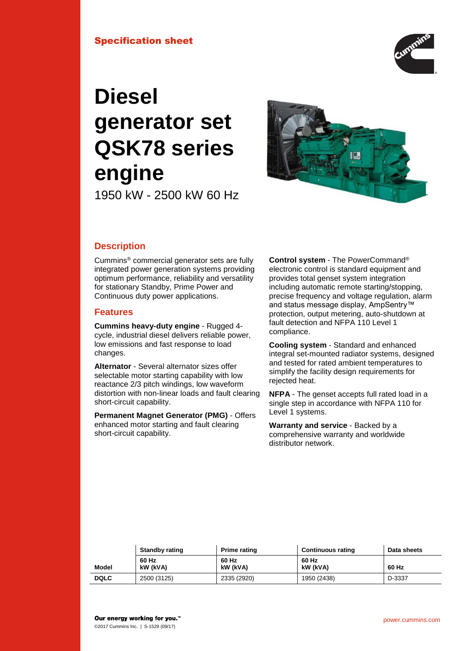## Specification sheet



# **Diesel generator set QSK78 series engine**

1950 kW - 2500 kW 60 Hz



# **Description**

Cummins® commercial generator sets are fully integrated power generation systems providing optimum performance, reliability and versatility for stationary Standby, Prime Power and Continuous duty power applications.

## **Features**

**Cummins heavy-duty engine** - Rugged 4 cycle, industrial diesel delivers reliable power, low emissions and fast response to load changes.

**Alternator** - Several alternator sizes offer selectable motor starting capability with low reactance 2/3 pitch windings, low waveform distortion with non-linear loads and fault clearing short-circuit capability.

**Permanent Magnet Generator (PMG)** - Offers enhanced motor starting and fault clearing short-circuit capability.

**Control system** - The PowerCommand® electronic control is standard equipment and provides total genset system integration including automatic remote starting/stopping, precise frequency and voltage regulation, alarm and status message display, AmpSentry™ protection, output metering, auto-shutdown at fault detection and NFPA 110 Level 1 compliance.

**Cooling system** - Standard and enhanced integral set-mounted radiator systems, designed and tested for rated ambient temperatures to simplify the facility design requirements for rejected heat.

**NFPA** - The genset accepts full rated load in a single step in accordance with NFPA 110 for Level 1 systems.

**Warranty and service** - Backed by a comprehensive warranty and worldwide distributor network.

|             | <b>Standby rating</b><br><b>Prime rating</b> |                   | <b>Continuous rating</b> | Data sheets |
|-------------|----------------------------------------------|-------------------|--------------------------|-------------|
| Model       | 60 Hz<br>kW (kVA)                            | 60 Hz<br>kW (kVA) | 60 Hz<br>kW (kVA)        | 60 Hz       |
| <b>DQLC</b> | 2500 (3125)                                  | 2335 (2920)       | 1950 (2438)              | D-3337      |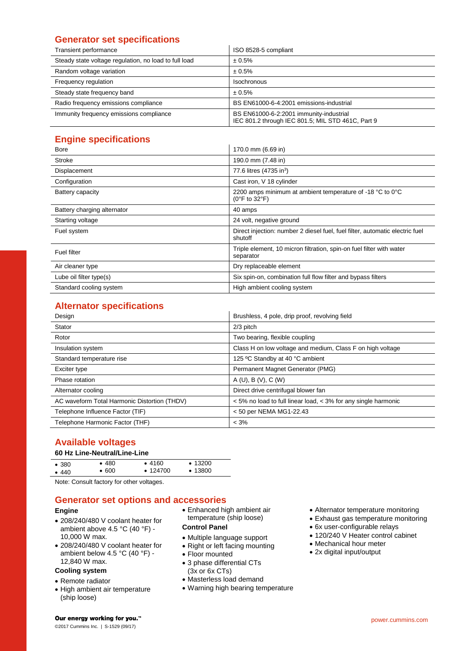# **Generator set specifications**

| Transient performance                                 | ISO 8528-5 compliant                                                                         |
|-------------------------------------------------------|----------------------------------------------------------------------------------------------|
| Steady state voltage regulation, no load to full load | ± 0.5%                                                                                       |
| Random voltage variation                              | ± 0.5%                                                                                       |
| Frequency regulation                                  | <b>Isochronous</b>                                                                           |
| Steady state frequency band                           | ± 0.5%                                                                                       |
| Radio frequency emissions compliance                  | BS EN61000-6-4:2001 emissions-industrial                                                     |
| Immunity frequency emissions compliance               | BS EN61000-6-2:2001 immunity-industrial<br>IEC 801.2 through IEC 801.5; MIL STD 461C, Part 9 |

# **Engine specifications**

| <b>Bore</b>                 | 170.0 mm (6.69 in)                                                                              |
|-----------------------------|-------------------------------------------------------------------------------------------------|
| Stroke                      | 190.0 mm (7.48 in)                                                                              |
| Displacement                | 77.6 litres (4735 in <sup>3</sup> )                                                             |
| Configuration               | Cast iron, V 18 cylinder                                                                        |
| Battery capacity            | 2200 amps minimum at ambient temperature of -18 °C to 0°C<br>$(0^{\circ}$ F to 32 $^{\circ}$ F) |
| Battery charging alternator | 40 amps                                                                                         |
| Starting voltage            | 24 volt, negative ground                                                                        |
| Fuel system                 | Direct injection: number 2 diesel fuel, fuel filter, automatic electric fuel<br>shutoff         |
| Fuel filter                 | Triple element, 10 micron filtration, spin-on fuel filter with water<br>separator               |
| Air cleaner type            | Dry replaceable element                                                                         |
| Lube oil filter type(s)     | Six spin-on, combination full flow filter and bypass filters                                    |
| Standard cooling system     | High ambient cooling system                                                                     |

# **Alternator specifications**

| Design                                       | Brushless, 4 pole, drip proof, revolving field                 |
|----------------------------------------------|----------------------------------------------------------------|
| Stator                                       | 2/3 pitch                                                      |
| Rotor                                        | Two bearing, flexible coupling                                 |
| Insulation system                            | Class H on low voltage and medium, Class F on high voltage     |
| Standard temperature rise                    | 125 °C Standby at 40 °C ambient                                |
| Exciter type                                 | Permanent Magnet Generator (PMG)                               |
| Phase rotation                               | A(U), B(V), C(W)                                               |
| Alternator cooling                           | Direct drive centrifugal blower fan                            |
| AC waveform Total Harmonic Distortion (THDV) | < 5% no load to full linear load, < 3% for any single harmonic |
| Telephone Influence Factor (TIF)             | < 50 per NEMA MG1-22.43                                        |
| Telephone Harmonic Factor (THF)              | $< 3\%$                                                        |

# **Available voltages**

## **60 Hz Line-Neutral/Line-Line**

| $\bullet$ 380 | •480          | •4160          | $\bullet$ 13200 |
|---------------|---------------|----------------|-----------------|
| •440          | $\bullet$ 600 | $\cdot$ 124700 | $\bullet$ 13800 |
|               |               |                |                 |

Note: Consult factory for other voltages.

## **Generator set options and accessories**

## **Engine**

- 208/240/480 V coolant heater for ambient above 4.5 °C (40 °F) - 10,000 W max.
- 208/240/480 V coolant heater for ambient below 4.5 °C (40 °F) - 12,840 W max.

## **Cooling system**

- Remote radiator
- High ambient air temperature (ship loose)

 Enhanced high ambient air temperature (ship loose)

#### **Control Panel**

- Multiple language support
- Right or left facing mounting
- Floor mounted
- 3 phase differential CTs
- (3x or 6x CTs)
- Masterless load demand
- Warning high bearing temperature
- Alternator temperature monitoring
- Exhaust gas temperature monitoring
- 6x user-configurable relays
- 120/240 V Heater control cabinet
- Mechanical hour meter
- 2x digital input/output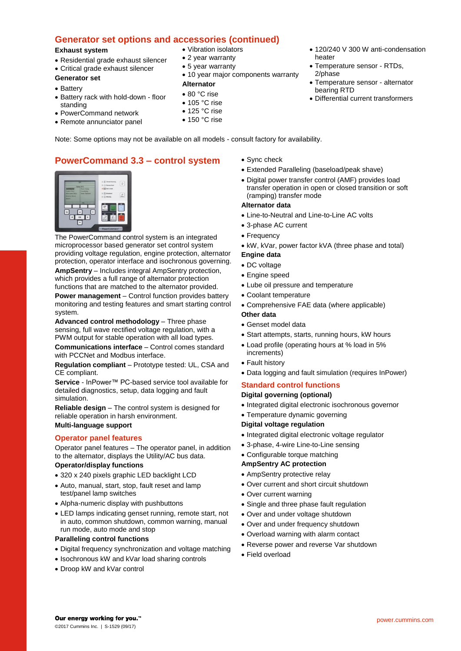## **Generator set options and accessories (continued)**

#### **Exhaust system**

- Residential grade exhaust silencer
- Critical grade exhaust silencer

## **Generator set**

- Battery
- Battery rack with hold-down floor standing
- PowerCommand network
- Remote annunciator panel
- Vibration isolators
- 2 year warranty
- 5 year warranty
- 
- 10 year major components warranty

## **Alternator**

- 80 °C rise
- $\bullet$  105 °C rise
- $\bullet$  125 °C rise
- $\bullet$  150 °C rise
- 120/240 V 300 W anti-condensation heater
- Temperature sensor RTDs, 2/phase
- Temperature sensor alternator bearing RTD
- Differential current transformers

Note: Some options may not be available on all models - consult factory for availability.

# **PowerCommand 3.3 – control system**



The PowerCommand control system is an integrated microprocessor based generator set control system providing voltage regulation, engine protection, alternator protection, operator interface and isochronous governing.

**AmpSentry** – Includes integral AmpSentry protection, which provides a full range of alternator protection functions that are matched to the alternator provided.

**Power management** – Control function provides battery monitoring and testing features and smart starting control system.

**Advanced control methodology** – Three phase sensing, full wave rectified voltage regulation, with a PWM output for stable operation with all load types.

**Communications interface** – Control comes standard with PCCNet and Modbus interface.

**Regulation compliant** – Prototype tested: UL, CSA and CE compliant.

**Service** - InPower™ PC-based service tool available for detailed diagnostics, setup, data logging and fault simulation.

**Reliable design** – The control system is designed for reliable operation in harsh environment.

## **Multi-language support**

## **Operator panel features**

Operator panel features – The operator panel, in addition to the alternator, displays the Utility/AC bus data.

#### **Operator/display functions**

- 320 x 240 pixels graphic LED backlight LCD
- Auto, manual, start, stop, fault reset and lamp test/panel lamp switches
- Alpha-numeric display with pushbuttons
- LED lamps indicating genset running, remote start, not in auto, common shutdown, common warning, manual run mode, auto mode and stop

#### **Paralleling control functions**

- Digital frequency synchronization and voltage matching
- Isochronous kW and kVar load sharing controls
- Droop kW and kVar control
- Sync check
- Extended Paralleling (baseload/peak shave)
- Digital power transfer control (AMF) provides load transfer operation in open or closed transition or soft (ramping) transfer mode

#### **Alternator data**

- Line-to-Neutral and Line-to-Line AC volts
- 3-phase AC current
- Frequency
- kW, kVar, power factor kVA (three phase and total)
- **Engine data**
- DC voltage
- Engine speed
- Lube oil pressure and temperature
- Coolant temperature
- Comprehensive FAE data (where applicable)

#### **Other data**

- Genset model data
- Start attempts, starts, running hours, kW hours
- Load profile (operating hours at % load in 5% increments)
- Fault history
- Data logging and fault simulation (requires InPower)

## **Standard control functions**

#### **Digital governing (optional)**

- Integrated digital electronic isochronous governor
- Temperature dynamic governing

#### **Digital voltage regulation**

- Integrated digital electronic voltage regulator
- 3-phase, 4-wire Line-to-Line sensing
- Configurable torque matching

#### **AmpSentry AC protection**

- AmpSentry protective relay
- Over current and short circuit shutdown
- Over current warning
- Single and three phase fault regulation
- Over and under voltage shutdown
- Over and under frequency shutdown
- Overload warning with alarm contact
- Reverse power and reverse Var shutdown
- Field overload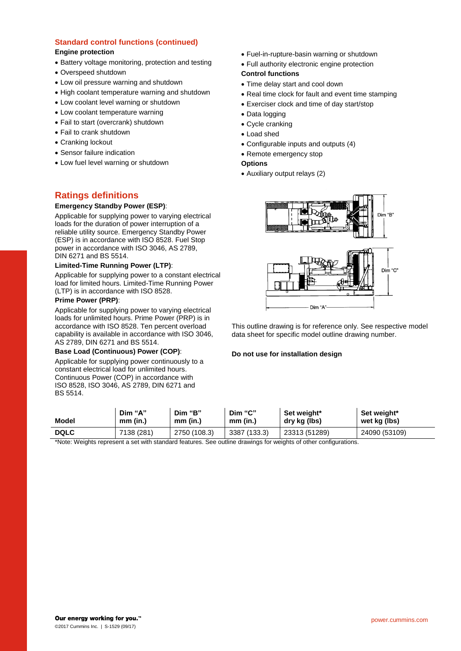#### **Standard control functions (continued) Engine protection**

- Battery voltage monitoring, protection and testing
- Overspeed shutdown
- Low oil pressure warning and shutdown
- High coolant temperature warning and shutdown
- Low coolant level warning or shutdown
- Low coolant temperature warning
- Fail to start (overcrank) shutdown
- Fail to crank shutdown
- Cranking lockout
- Sensor failure indication
- Low fuel level warning or shutdown

# **Ratings definitions**

#### **Emergency Standby Power (ESP)**:

Applicable for supplying power to varying electrical loads for the duration of power interruption of a reliable utility source. Emergency Standby Power (ESP) is in accordance with ISO 8528. Fuel Stop power in accordance with ISO 3046, AS 2789, DIN 6271 and BS 5514.

#### **Limited-Time Running Power (LTP)**:

Applicable for supplying power to a constant electrical load for limited hours. Limited-Time Running Power (LTP) is in accordance with ISO 8528.

#### **Prime Power (PRP)**:

Applicable for supplying power to varying electrical loads for unlimited hours. Prime Power (PRP) is in accordance with ISO 8528. Ten percent overload capability is available in accordance with ISO 3046, AS 2789, DIN 6271 and BS 5514.

#### **Base Load (Continuous) Power (COP)**:

Applicable for supplying power continuously to a constant electrical load for unlimited hours. Continuous Power (COP) in accordance with ISO 8528, ISO 3046, AS 2789, DIN 6271 and BS 5514.

Fuel-in-rupture-basin warning or shutdown

Full authority electronic engine protection

## **Control functions**

- Time delay start and cool down
- Real time clock for fault and event time stamping
- Exerciser clock and time of day start/stop
- Data logging
- Cycle cranking
- Load shed
- Configurable inputs and outputs (4)
- Remote emergency stop

## **Options**

Auxiliary output relays (2)



This outline drawing is for reference only. See respective model data sheet for specific model outline drawing number.

#### **Do not use for installation design**

| Model       | Dim "A"    | Dim "B"      | Dim "C"      | Set weight*   | Set weight*   |
|-------------|------------|--------------|--------------|---------------|---------------|
|             | mm (in.)   | mm (in.)     | $mm$ (in.)   | dry kg (lbs)  | wet kg (lbs)  |
| <b>DQLC</b> | 7138 (281) | 2750 (108.3) | 3387 (133.3) | 23313 (51289) | 24090 (53109) |

\*Note: Weights represent a set with standard features. See outline drawings for weights of other configurations.